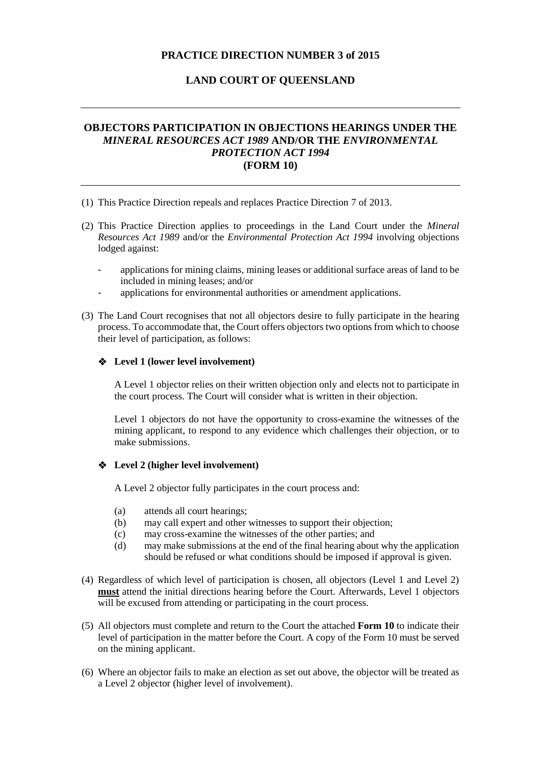### **PRACTICE DIRECTION NUMBER 3 of 2015**

#### **LAND COURT OF QUEENSLAND**

### **OBJECTORS PARTICIPATION IN OBJECTIONS HEARINGS UNDER THE**  *MINERAL RESOURCES ACT 1989* **AND/OR THE** *ENVIRONMENTAL PROTECTION ACT 1994* **(FORM 10)**

- (1) This Practice Direction repeals and replaces Practice Direction 7 of 2013.
- (2) This Practice Direction applies to proceedings in the Land Court under the *Mineral Resources Act 1989* and/or the *Environmental Protection Act 1994* involving objections lodged against:
	- applications for mining claims, mining leases or additional surface areas of land to be included in mining leases; and/or
	- applications for environmental authorities or amendment applications.
- (3) The Land Court recognises that not all objectors desire to fully participate in the hearing process. To accommodate that, the Court offers objectors two options from which to choose their level of participation, as follows:

#### **Level 1 (lower level involvement)**

A Level 1 objector relies on their written objection only and elects not to participate in the court process. The Court will consider what is written in their objection.

Level 1 objectors do not have the opportunity to cross-examine the witnesses of the mining applicant, to respond to any evidence which challenges their objection, or to make submissions.

#### **Level 2 (higher level involvement)**

A Level 2 objector fully participates in the court process and:

- (a) attends all court hearings;
- (b) may call expert and other witnesses to support their objection;
- (c) may cross-examine the witnesses of the other parties; and
- (d) may make submissions at the end of the final hearing about why the application should be refused or what conditions should be imposed if approval is given.
- (4) Regardless of which level of participation is chosen, all objectors (Level 1 and Level 2) **must** attend the initial directions hearing before the Court. Afterwards, Level 1 objectors will be excused from attending or participating in the court process.
- (5) All objectors must complete and return to the Court the attached **Form 10** to indicate their level of participation in the matter before the Court. A copy of the Form 10 must be served on the mining applicant.
- (6) Where an objector fails to make an election as set out above, the objector will be treated as a Level 2 objector (higher level of involvement).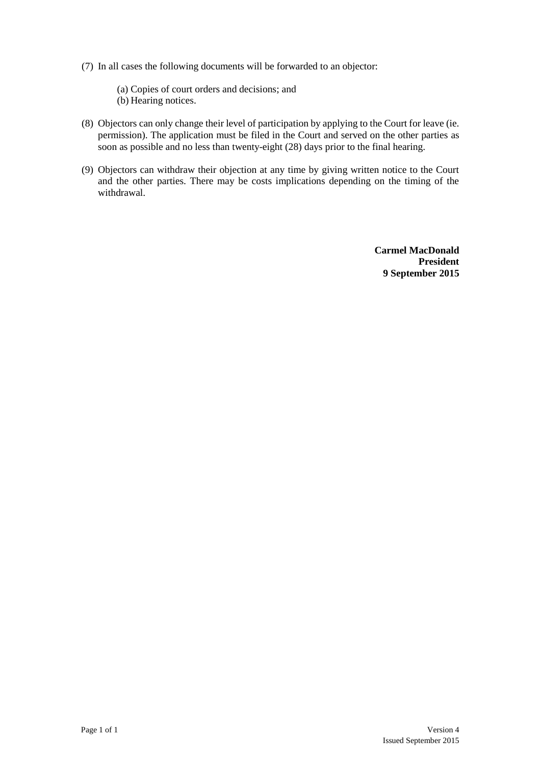(7) In all cases the following documents will be forwarded to an objector:

(a) Copies of court orders and decisions; and (b) Hearing notices.

- (8) Objectors can only change their level of participation by applying to the Court for leave (ie. permission). The application must be filed in the Court and served on the other parties as soon as possible and no less than twenty-eight (28) days prior to the final hearing.
- (9) Objectors can withdraw their objection at any time by giving written notice to the Court and the other parties. There may be costs implications depending on the timing of the withdrawal.

**Carmel MacDonald President 9 September 2015**